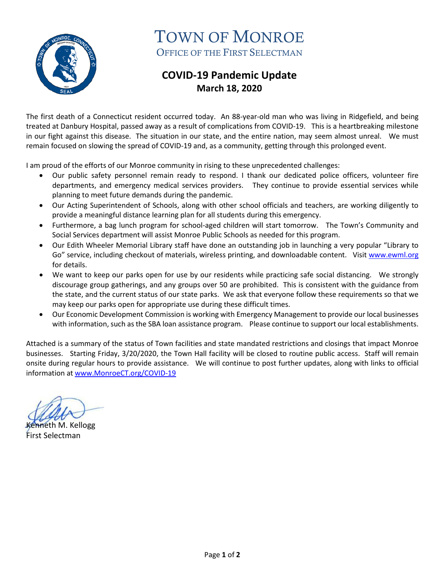

## TOWN OF MONROE OFFICE OF THE FIRST SELECTMAN

## **COVID-19 Pandemic Update March 18, 2020**

The first death of a Connecticut resident occurred today. An 88-year-old man who was living in Ridgefield, and being treated at Danbury Hospital, passed away as a result of complications from COVID-19. This is a heartbreaking milestone in our fight against this disease. The situation in our state, and the entire nation, may seem almost unreal. We must remain focused on slowing the spread of COVID-19 and, as a community, getting through this prolonged event.

I am proud of the efforts of our Monroe community in rising to these unprecedented challenges:

- Our public safety personnel remain ready to respond. I thank our dedicated police officers, volunteer fire departments, and emergency medical services providers. They continue to provide essential services while planning to meet future demands during the pandemic.
- Our Acting Superintendent of Schools, along with other school officials and teachers, are working diligently to provide a meaningful distance learning plan for all students during this emergency.
- Furthermore, a bag lunch program for school-aged children will start tomorrow. The Town's Community and Social Services department will assist Monroe Public Schools as needed for this program.
- Our Edith Wheeler Memorial Library staff have done an outstanding job in launching a very popular "Library to Go" service, including checkout of materials, wireless printing, and downloadable content. Visit [www.ewml.org](http://www.ewml.org/) for details.
- We want to keep our parks open for use by our residents while practicing safe social distancing. We strongly discourage group gatherings, and any groups over 50 are prohibited. This is consistent with the guidance from the state, and the current status of our state parks. We ask that everyone follow these requirements so that we may keep our parks open for appropriate use during these difficult times.
- Our Economic Development Commission is working with Emergency Management to provide our local businesses with information, such as the SBA loan assistance program. Please continue to support our local establishments.

Attached is a summary of the status of Town facilities and state mandated restrictions and closings that impact Monroe businesses. Starting Friday, 3/20/2020, the Town Hall facility will be closed to routine public access. Staff will remain onsite during regular hours to provide assistance. We will continue to post further updates, along with links to official information at [www.MonroeCT.org/COVID-19](http://www.monroect.org/COVID-19)

M. Kellogg First Selectman